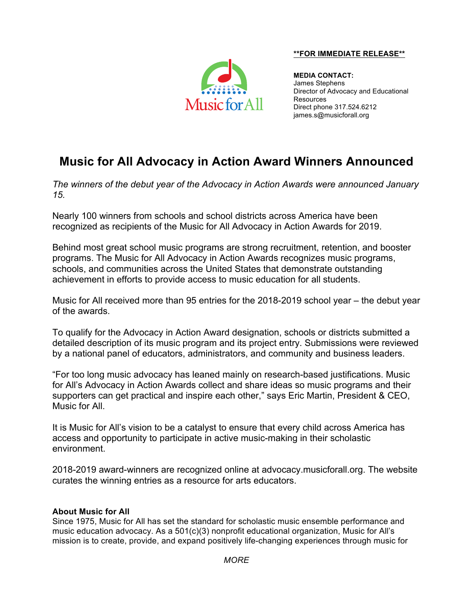## **\*\*FOR IMMEDIATE RELEASE\*\***



**MEDIA CONTACT:** James Stephens Director of Advocacy and Educational Resources Direct phone 317.524.6212 james.s@musicforall.org

## **Music for All Advocacy in Action Award Winners Announced**

*The winners of the debut year of the Advocacy in Action Awards were announced January 15.*

Nearly 100 winners from schools and school districts across America have been recognized as recipients of the Music for All Advocacy in Action Awards for 2019.

Behind most great school music programs are strong recruitment, retention, and booster programs. The Music for All Advocacy in Action Awards recognizes music programs, schools, and communities across the United States that demonstrate outstanding achievement in efforts to provide access to music education for all students.

Music for All received more than 95 entries for the 2018-2019 school year – the debut year of the awards.

To qualify for the Advocacy in Action Award designation, schools or districts submitted a detailed description of its music program and its project entry. Submissions were reviewed by a national panel of educators, administrators, and community and business leaders.

"For too long music advocacy has leaned mainly on research-based justifications. Music for All's Advocacy in Action Awards collect and share ideas so music programs and their supporters can get practical and inspire each other," says Eric Martin, President & CEO, Music for All.

It is Music for All's vision to be a catalyst to ensure that every child across America has access and opportunity to participate in active music-making in their scholastic environment.

2018-2019 award-winners are recognized online at advocacy.musicforall.org. The website curates the winning entries as a resource for arts educators.

## **About Music for All**

Since 1975, Music for All has set the standard for scholastic music ensemble performance and music education advocacy. As a 501(c)(3) nonprofit educational organization, Music for All's mission is to create, provide, and expand positively life-changing experiences through music for